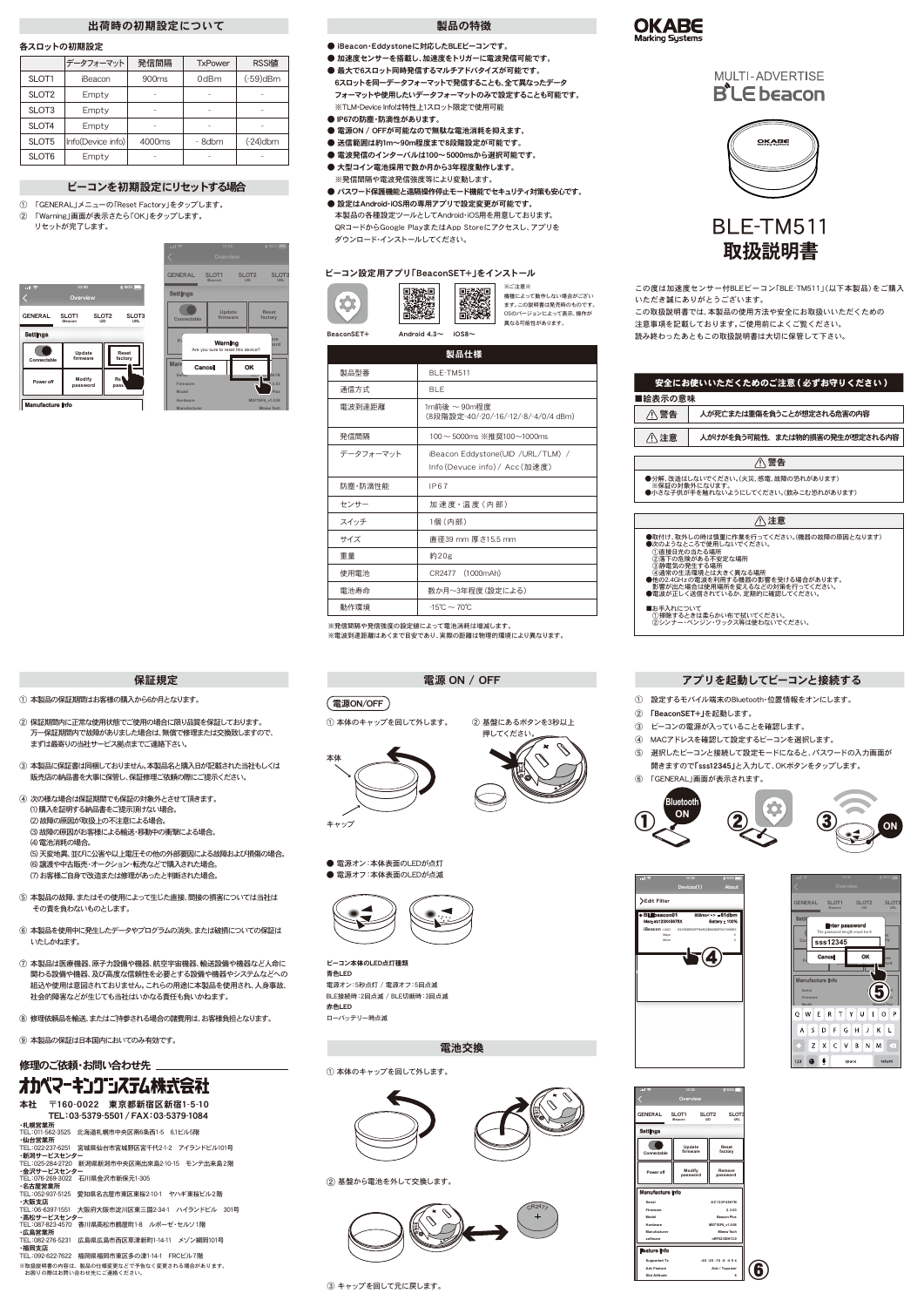電源 ON / OFF

# ① 本体のキャップを回して外します。

② 基盤にあるボタンを3秒以上 押してください



電源ON/OFF

● 電源オン:本体表面のLEDが点灯 ● 雷源オフ:本体表面のLEDが点滅



この度は加速度センサー付BLEビーコン「BLE-TM511」(以下本製品)をご購入 いただき誠にありがとうございます。

この取扱説明書では、本製品の使用方法や安全にお取扱いいただくための 注意事項を記載しております。ご使用前によくご覧ください。 読み終わったあともこの取扱説明書は大切に保管して下さい。

- 次の次のようにしてください
- 
- 
- ①直接日光の当たる場所<br>②落下の危険がある不安定な場所<br>③静下の危険がある不安定な場所<br>●他の2.4GHzの電波を利用する機器の影響を受ける場合があります。<br>●影響が出た場合は使用場所を変えるなどの対策を行ってください。
- ●電波が正しく送信されているか、定期的に確認してください。
- ■お手入れについて
- 
- ①掃除するときは柔らかい布で拭いてください。 ②シンナー・ベンジン・ワックス等は使わないでください。

|                                                                   | <u>安全にお使いい</u> ただくためのご注意 ( 必ずお守りください )                |  |  |  |  |  |
|-------------------------------------------------------------------|-------------------------------------------------------|--|--|--|--|--|
| ■絵表示の意味                                                           |                                                       |  |  |  |  |  |
| 八 警告                                                              | 人が死亡または重傷を負うことが想定される危害の内容                             |  |  |  |  |  |
| ∧ 注意                                                              | 人がけがを負う可能性、または物的損害の発生が想定される内容                         |  |  |  |  |  |
|                                                                   |                                                       |  |  |  |  |  |
|                                                                   | ∧警告                                                   |  |  |  |  |  |
|                                                                   | ●分解、改造はしないでください。(火災、感雷、故障の恐れがあります)                    |  |  |  |  |  |
|                                                                   | ※保証の対象外になります。<br>●小さな子供が手を触れないようにしてください。(飲みこむ恐れがあります) |  |  |  |  |  |
|                                                                   |                                                       |  |  |  |  |  |
| 注意                                                                |                                                       |  |  |  |  |  |
| ●取付け、取外しの時は慎重に作業を行ってください。(機器の故障の原因となります)<br>●次のようなところで使用しないでください。 |                                                       |  |  |  |  |  |



- iBeacon·Eddystoneに対応したBLEビーコンです。
- 加速度センサーを搭載し、加速度をトリガーに電波発信可能です。
- 最大で6スロット同時発信するマルチアドバタイズが可能です。 6スロットを同一データフォーマットで発信することも、全て異なったデータ フォーマットや使用したいデータフォーマットのみで設定することも可能です。 ※TLM・Device Infoは特性上1スロット限定で使用可能
- IP67の防塵·防滴性があります。
- 電源ON / OFFが可能なので無駄な電池消耗を抑えます。
- 送信範囲は約1m~90m程度まで8段階設定が可能です。
- 電波発信のインターバルは100~5000msから選択可能です。
- 大型コイン電池採用で数か月から3年程度動作します。 ※発信間隔や電波発信強度等により変動します。
- パスワード保護機能と遠隔操作停止モード機能でセキュリティ対策も安心です。
- 設定はAndroid·iOS用の専用アプリで設定変更が可能です。 本製品の各種設定ツールとしてAndroid・iOS用を用意しております。 QRコードからGoogle PlayまたはApp Storeにアクセスし、アプリを ダウンロード・インストールしてください。

|           | 製品仕様                                                              |
|-----------|-------------------------------------------------------------------|
| 製品型番      | BLE-TM511                                                         |
| 通信方式      | <b>BLE</b>                                                        |
| 電波到達距離    | 1m前後 $\sim$ 90m程度<br>(8段階設定-40/-20/-16/-12/-8/-4/0/4 dBm)         |
| 発信間隔      | 100~5000ms ※推奨100~1000ms                                          |
| データフォーマット | iBeacon Eddystone(UID / URL/TLM) /<br>Info(Devuce info)/ Acc(加速度) |
| 防塵·防滴性能   | IP67                                                              |
| センサー      | 加速度・温度 (内部)                                                       |
| スイッチ      | 1個 (内部)                                                           |
| サイズ       | 直径39 mm 厚さ15.5 mm                                                 |
| 重量        | 約20g                                                              |
| 使用電池      | CR2477 (1000mAh)                                                  |
| 電池寿命      | 数か月~3年程度(設定による)                                                   |
| 動作環境      | $-15^{\circ}$ C $\sim$ 70 $^{\circ}$ C                            |

② 基盤から電池を外して交換します。

### 電池交換

### ① 本体のキャップを回して外します。







③ キャップを回して元に戻します。

製品の特徴

### ビーコン設定用アプリ「BeaconSET+」をインストール



BeaconSET+ Android 4.3~ iOS8~



|     | Serial<br>Firmware<br>Model |   |             |         |   |    | <b>Pennen Blue</b> |        |
|-----|-----------------------------|---|-------------|---------|---|----|--------------------|--------|
| Q   | w                           | E |             | R T Y U |   | -1 | Ω                  | Ρ      |
| Α   | S.                          | D |             | $F$ G   | H | J  | K.                 |        |
|     | Z.                          |   | $X \subset$ | $\vee$  | B | N  | M                  | C×.    |
| 123 |                             |   |             | space   |   |    |                    | return |



TEL:052-937-5125 愛知県名古屋市東区東桜2-10-1 ヤハギ東桜ビル2階 ・ニー。。<br>・大阪支店

| n e                                     | 10:00                            | $8100\%$                                 |
|-----------------------------------------|----------------------------------|------------------------------------------|
|                                         | Devices(1)                       | About                                    |
| Edit Filter                             |                                  |                                          |
| <b>BLEbeacon01</b><br>Mac: ab123X45678X |                                  | 858ms<-> - 61dbm<br><b>Battery: 100%</b> |
| <b>iBeacon</b> UUID<br>Major<br>Minor   | E2C56DB5DFFB48D2B060D0F5A71096E6 | $^{\circ}$<br>$\theta$                   |
|                                         |                                  |                                          |

| $  $ $\hat{z}$      | 10:00                                 | <b>  100%</b>                            |
|---------------------|---------------------------------------|------------------------------------------|
|                     | Overview                              |                                          |
| <b>GENERAL</b>      | SLOT1<br><b>UID</b><br><b>iBeacon</b> | <b>SLOT3</b><br>SLOT <sub>2</sub><br>URL |
| <b>Settings</b>     |                                       |                                          |
| Connectable         | Update<br>firmware                    | Reset<br>factory                         |
| Power off           | Modify<br>password                    | Remove<br>password                       |
| Manufacture Info    |                                       |                                          |
| Serial              |                                       | <b>AC123F4567B</b>                       |
| Firmware            |                                       | 2.3.03                                   |
| Model               |                                       | <b>Beacon Plus</b>                       |
| Hardware            |                                       | MS71SF6_v1.0.06                          |
| Manufacturer        |                                       | <b>Minew Tech</b>                        |
| software            |                                       | nRF52-SDK13.0                            |
|                     |                                       |                                          |
| <b>Feature Info</b> |                                       |                                          |
| <b>Supported Tx</b> |                                       | $-40 - 20 - 16 - 8 - 404$                |
| <b>Adv Feature</b>  |                                       | Adv / Txpower                            |

### アプリを起動してビーコンと接続する

- ① 設定するモバイル端末のBluetooth・位置情報をオンにします。
- ② 「BeaconSET+」を起動します。
- ③ ビーコンの電源が入っていることを確認します。
- ④ MACアドレスを確認して設定するビーコンを選択します。
- ⑤ 選択したビーコンと接続して設定モードになると、パスワードの入力画面が 開きますので「sss12345」と入力して、OKボタンをタップします。
- ⑥ 「GENERAL」画面が表示されます。

**<**



ビーコン本体のLED点灯種類 青色LED 電源オン:5秒点灯 / 電源オフ:5回点滅











BLE接続時:2回点滅 / BLE切断時:3回点滅 赤色LED

ローバッテリー時点滅

※発信間隔や発信強度の設定値によって電池消耗は増減します。

※電波到達距離はあくまで目安であり、実際の距離は物理的環境により異なります。

### 出荷時の初期設定について

### 各スロットの初期設定

|                   | データフォーマット         | 発信間隔              | <b>TxPower</b> | <b>RSSI值</b> |
|-------------------|-------------------|-------------------|----------------|--------------|
| SLOT1             | iBeacon           | 900 <sub>ms</sub> | 0dBm           | $(-59)$ dBm  |
| SLOT <sub>2</sub> | Empty             |                   |                |              |
| SLOT3             | Empty             |                   |                |              |
| SLOT4             | Empty             |                   |                |              |
| SLOT5             | Info(Device info) | 4000ms            | - 8dbm         | $(-24)$ dbm  |
| SLOT6             | Empty             |                   |                |              |

### ビーコンを初期設定にリセットする場合

|                  |                         |                                           | <b>ill</b> 全                | 10:00                                                   |                                 |                                              |
|------------------|-------------------------|-------------------------------------------|-----------------------------|---------------------------------------------------------|---------------------------------|----------------------------------------------|
|                  |                         |                                           |                             | Overview                                                |                                 |                                              |
| 訓令               | 10:00                   | <b>*100%</b>                              | <b>GENERAL</b>              | SLOT <sub>1</sub><br>iBeacon                            | SLOT <sub>2</sub><br><b>UID</b> | SLO <sub>1</sub><br><b>URL</b>               |
|                  | Overview                |                                           | <b>Settings</b>             |                                                         |                                 |                                              |
| <b>GENERAL</b>   | SLOT1<br><b>iBeacon</b> | SLOT <sub>2</sub><br>SLOT3<br>URL<br>LIID | Connectable                 | Update<br>firmware                                      |                                 | <b>Reset</b><br>factory                      |
| <b>Settings</b>  |                         |                                           | P                           |                                                         |                                 | avd                                          |
| Connectable      | Update<br>firmware      | Reset<br>factory                          | Man                         | Warning<br>Are you sure to reset this device?<br>Cancel | OK                              | rord                                         |
| Power off        | Modify<br>password      | Re <sub>1</sub><br>pass                   | Serian<br>Firmware<br>Model |                                                         |                                 | 667B<br><b>AVT</b><br>उत्त<br>2,3.03<br>Plus |
| Manufacture Info |                         |                                           | Hardware                    |                                                         |                                 | MS71SF6 v1.0.06                              |
|                  |                         |                                           | Manufacturer                |                                                         |                                 | Minew Tech                                   |

SLOT

- ① 「GENERAL」メニューの「Reset Factory」をタップします。
- ② 「Warning」画面が表示さたら「OK」をタップします。 リセットが完了します。

※ご注意※ 機種によって動作しない場合がござい ます。この説明書は発売時のものです。 OSのバージョンによって表示、操作が 異なる可能性があります。

### 保証規定

本社 〒160-0022 東京都新宿区新宿1-5-10 TEL:03-5379-5501/ FAX:03-5379-1084

・札幌営業所 TEL:011-562-3525 北海道札幌市中央区南6条西1-5 6.1ビル5階

・仙台営業所

- ||山口喜来;;<br>TEL:022-237-6251 宮城県仙台市宮城野区宮千代2-1-2 アイランドビル101号 - <del>- - - - - - - - - - - - - -</del><br>・新潟サービスセンタ

TEL:025-284-2720 新潟県新潟市中央区南出來島2-10-15 モンテ出来島2階 ・金沢サービスセンター TEL:076-269-3022 石川県金沢市新保元1-305

・名古屋営業所

TEL:06-6397-1551 大阪府大阪市淀川区東三国2-34-1 ハイランドビル 301号

・高松サービスセンター TEL:087-823-4570 香川県高松市鶴屋町1-8 ルポーゼ・セルソ1階

### ・広島営業所

TEL:082-276-5231 広島県広島市西区草津新町1-14-11 メゾン綱岡101号 ・福岡支店

- ① 本製品の保証期間はお客様の購入から6か月となります。
- ② 保証期間内に正常な使用状態でご使用の場合に限り品質を保証しております。 万一保証期間内で故障がありました場合は、無償で修理または交換致しますので、 まずは最寄りの当社サービス拠点までご連絡下さい。
- ③ 本製品に保証書は同梱しておりません。本製品名と購入日が記載された当社もしくは 販売店の納品書を大事に保管し、保証修理ご依頼の際にご提示ください。
- ④ 次の様な場合は保証期間でも保証の対象外とさせて頂きます。 (1) 購入を証明する納品書をご提示頂けない場合。 (2) 故障の原因が取扱上の不注意による場合。 (3) 故障の原因がお客様による輸送・移動中の衝撃による場合。 (4) 電池消耗の場合。
- (5) 天変地異、並びに公害や以上電圧その他の外部要因による故障および損傷の場合。 (6) 譲渡や中古販売・オークション・転売などで購入された場合。 (7) お客様ご自身で改造または修理があったと判断された場合。
- ⑤ 本製品の故障、またはその使用によって生じた直接、間接の損害については当社は その責を負わないものとします。
- ⑥ 本製品を使用中に発生したデータやプログラムの消失、または破損についての保証は いたしかねます。
- ⑦ 本製品は医療機器、原子力設備や機器、航空宇宙機器、輸送設備や機器など人命に 関わる設備や機器、及び高度な信頼性を必要とする設備や機器やシステムなどへの 組込や使用は意図されておりません。これらの用途に本製品を使用され、人身事故、



# MUI TI-ADVERTISE **B** LE beacon



TEL:092-622-7622 福岡県福岡市東区多の津1-14-1 FRCビル7階 ※取扱説明書の内容は、製品の仕様変更などで予告なく変更される場合があります。 お困りの際はお問い合わせ先にご連絡ください。

社会的障害などが生じても当社はいかなる責任も負いかねます。

⑧ 修理依頼品を輸送、またはご持参される場合の諸費用は、お客様負担となります。

⑨ 本製品の保証は日本国内においてのみ有効です。

修理のご依頼・お問い合わせ先

# オカペマーキンコゴンステム株式会社